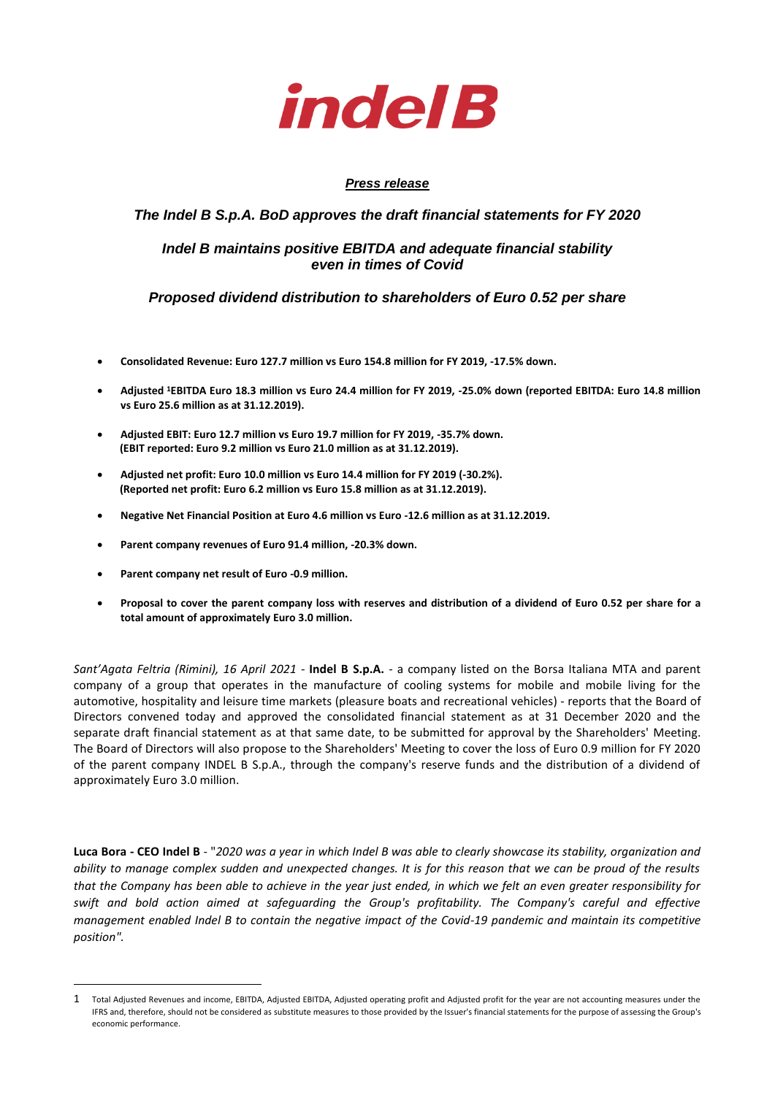

# *Press release*

# *The Indel B S.p.A. BoD approves the draft financial statements for FY 2020*

# *Indel B maintains positive EBITDA and adequate financial stability even in times of Covid*

# *Proposed dividend distribution to shareholders of Euro 0.52 per share*

- **Consolidated Revenue: Euro 127.7 million vs Euro 154.8 million for FY 2019, -17.5% down.**
- **Adjusted <sup>1</sup>EBITDA Euro 18.3 million vs Euro 24.4 million for FY 2019, -25.0% down (reported EBITDA: Euro 14.8 million vs Euro 25.6 million as at 31.12.2019).**
- **Adjusted EBIT: Euro 12.7 million vs Euro 19.7 million for FY 2019, -35.7% down. (EBIT reported: Euro 9.2 million vs Euro 21.0 million as at 31.12.2019).**
- **Adjusted net profit: Euro 10.0 million vs Euro 14.4 million for FY 2019 (-30.2%). (Reported net profit: Euro 6.2 million vs Euro 15.8 million as at 31.12.2019).**
- **Negative Net Financial Position at Euro 4.6 million vs Euro -12.6 million as at 31.12.2019.**
- **Parent company revenues of Euro 91.4 million, -20.3% down.**
- **Parent company net result of Euro -0.9 million.**
- **Proposal to cover the parent company loss with reserves and distribution of a dividend of Euro 0.52 per share for a total amount of approximately Euro 3.0 million.**

*Sant'Agata Feltria (Rimini), 16 April 2021 -* **Indel B S.p.A.** - a company listed on the Borsa Italiana MTA and parent company of a group that operates in the manufacture of cooling systems for mobile and mobile living for the automotive, hospitality and leisure time markets (pleasure boats and recreational vehicles) - reports that the Board of Directors convened today and approved the consolidated financial statement as at 31 December 2020 and the separate draft financial statement as at that same date, to be submitted for approval by the Shareholders' Meeting. The Board of Directors will also propose to the Shareholders' Meeting to cover the loss of Euro 0.9 million for FY 2020 of the parent company INDEL B S.p.A., through the company's reserve funds and the distribution of a dividend of approximately Euro 3.0 million.

**Luca Bora - CEO Indel B** - "*2020 was a year in which Indel B was able to clearly showcase its stability, organization and ability to manage complex sudden and unexpected changes. It is for this reason that we can be proud of the results that the Company has been able to achieve in the year just ended, in which we felt an even greater responsibility for swift and bold action aimed at safeguarding the Group's profitability. The Company's careful and effective management enabled Indel B to contain the negative impact of the Covid-19 pandemic and maintain its competitive position".*

<sup>1</sup> Total Adjusted Revenues and income, EBITDA, Adjusted EBITDA, Adjusted operating profit and Adjusted profit for the year are not accounting measures under the IFRS and, therefore, should not be considered as substitute measures to those provided by the Issuer's financial statements for the purpose of assessing the Group's economic performance.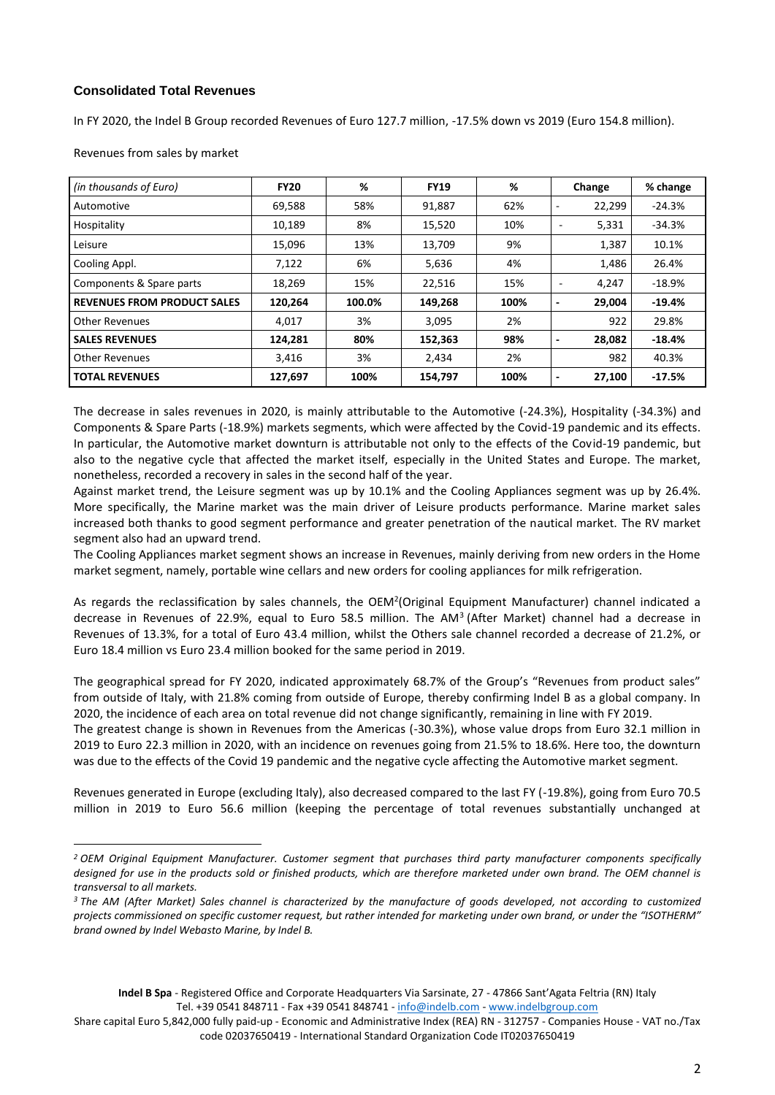# **Consolidated Total Revenues**

In FY 2020, the Indel B Group recorded Revenues of Euro 127.7 million, -17.5% down vs 2019 (Euro 154.8 million).

| (in thousands of Euro)             | <b>FY20</b> | %      | <b>FY19</b> | %    | Change                             | % change |
|------------------------------------|-------------|--------|-------------|------|------------------------------------|----------|
| Automotive                         | 69,588      | 58%    | 91,887      | 62%  | 22,299<br>$\overline{\phantom{0}}$ | $-24.3%$ |
| Hospitality                        | 10,189      | 8%     | 15,520      | 10%  | 5,331                              | $-34.3%$ |
| Leisure                            | 15,096      | 13%    | 13,709      | 9%   | 1,387                              | 10.1%    |
| Cooling Appl.                      | 7,122       | 6%     | 5,636       | 4%   | 1,486                              | 26.4%    |
| Components & Spare parts           | 18,269      | 15%    | 22,516      | 15%  | 4,247<br>$\overline{\phantom{0}}$  | $-18.9%$ |
| <b>REVENUES FROM PRODUCT SALES</b> | 120,264     | 100.0% | 149,268     | 100% | 29,004<br>$\overline{\phantom{0}}$ | $-19.4%$ |
| <b>Other Revenues</b>              | 4,017       | 3%     | 3,095       | 2%   | 922                                | 29.8%    |
| <b>SALES REVENUES</b>              | 124,281     | 80%    | 152,363     | 98%  | 28,082<br>$\overline{\phantom{a}}$ | $-18.4%$ |
| <b>Other Revenues</b>              | 3,416       | 3%     | 2,434       | 2%   | 982                                | 40.3%    |
| <b>TOTAL REVENUES</b>              | 127,697     | 100%   | 154,797     | 100% | 27,100<br>٠                        | $-17.5%$ |

Revenues from sales by market

The decrease in sales revenues in 2020, is mainly attributable to the Automotive (-24.3%), Hospitality (-34.3%) and Components & Spare Parts (-18.9%) markets segments, which were affected by the Covid-19 pandemic and its effects. In particular, the Automotive market downturn is attributable not only to the effects of the Covid-19 pandemic, but also to the negative cycle that affected the market itself, especially in the United States and Europe. The market, nonetheless, recorded a recovery in sales in the second half of the year.

Against market trend, the Leisure segment was up by 10.1% and the Cooling Appliances segment was up by 26.4%. More specifically, the Marine market was the main driver of Leisure products performance. Marine market sales increased both thanks to good segment performance and greater penetration of the nautical market. The RV market segment also had an upward trend.

The Cooling Appliances market segment shows an increase in Revenues, mainly deriving from new orders in the Home market segment, namely, portable wine cellars and new orders for cooling appliances for milk refrigeration.

As regards the reclassification by sales channels, the OEM<sup>2</sup>(Original Equipment Manufacturer) channel indicated a decrease in Revenues of 22.9%, equal to Euro 58.5 million. The AM<sup>3</sup> (After Market) channel had a decrease in Revenues of 13.3%, for a total of Euro 43.4 million, whilst the Others sale channel recorded a decrease of 21.2%, or Euro 18.4 million vs Euro 23.4 million booked for the same period in 2019.

The geographical spread for FY 2020, indicated approximately 68.7% of the Group's "Revenues from product sales" from outside of Italy, with 21.8% coming from outside of Europe, thereby confirming Indel B as a global company. In 2020, the incidence of each area on total revenue did not change significantly, remaining in line with FY 2019.

The greatest change is shown in Revenues from the Americas (-30.3%), whose value drops from Euro 32.1 million in 2019 to Euro 22.3 million in 2020, with an incidence on revenues going from 21.5% to 18.6%. Here too, the downturn was due to the effects of the Covid 19 pandemic and the negative cycle affecting the Automotive market segment.

Revenues generated in Europe (excluding Italy), also decreased compared to the last FY (-19.8%), going from Euro 70.5 million in 2019 to Euro 56.6 million (keeping the percentage of total revenues substantially unchanged at

*<sup>2</sup> OEM Original Equipment Manufacturer. Customer segment that purchases third party manufacturer components specifically designed for use in the products sold or finished products, which are therefore marketed under own brand. The OEM channel is transversal to all markets.*

*<sup>3</sup> The AM (After Market) Sales channel is characterized by the manufacture of goods developed, not according to customized projects commissioned on specific customer request, but rather intended for marketing under own brand, or under the "ISOTHERM" brand owned by Indel Webasto Marine, by Indel B.* 

Share capital Euro 5,842,000 fully paid-up - Economic and Administrative Index (REA) RN - 312757 - Companies House - VAT no./Tax code 02037650419 - International Standard Organization Code IT02037650419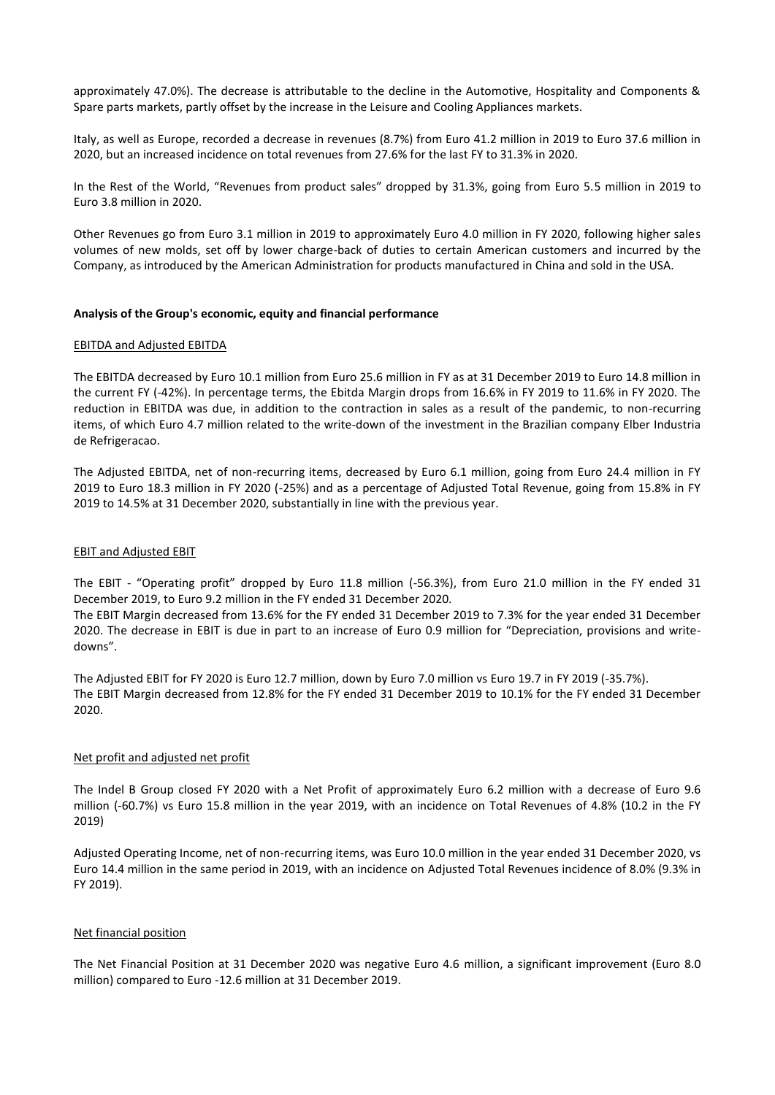approximately 47.0%). The decrease is attributable to the decline in the Automotive, Hospitality and Components & Spare parts markets, partly offset by the increase in the Leisure and Cooling Appliances markets.

Italy, as well as Europe, recorded a decrease in revenues (8.7%) from Euro 41.2 million in 2019 to Euro 37.6 million in 2020, but an increased incidence on total revenues from 27.6% for the last FY to 31.3% in 2020.

In the Rest of the World, "Revenues from product sales" dropped by 31.3%, going from Euro 5.5 million in 2019 to Euro 3.8 million in 2020.

Other Revenues go from Euro 3.1 million in 2019 to approximately Euro 4.0 million in FY 2020, following higher sales volumes of new molds, set off by lower charge-back of duties to certain American customers and incurred by the Company, as introduced by the American Administration for products manufactured in China and sold in the USA.

#### **Analysis of the Group's economic, equity and financial performance**

#### EBITDA and Adjusted EBITDA

The EBITDA decreased by Euro 10.1 million from Euro 25.6 million in FY as at 31 December 2019 to Euro 14.8 million in the current FY (-42%). In percentage terms, the Ebitda Margin drops from 16.6% in FY 2019 to 11.6% in FY 2020. The reduction in EBITDA was due, in addition to the contraction in sales as a result of the pandemic, to non-recurring items, of which Euro 4.7 million related to the write-down of the investment in the Brazilian company Elber Industria de Refrigeracao.

The Adjusted EBITDA, net of non-recurring items, decreased by Euro 6.1 million, going from Euro 24.4 million in FY 2019 to Euro 18.3 million in FY 2020 (-25%) and as a percentage of Adjusted Total Revenue, going from 15.8% in FY 2019 to 14.5% at 31 December 2020, substantially in line with the previous year.

#### EBIT and Adjusted EBIT

The EBIT - "Operating profit" dropped by Euro 11.8 million (-56.3%), from Euro 21.0 million in the FY ended 31 December 2019, to Euro 9.2 million in the FY ended 31 December 2020.

The EBIT Margin decreased from 13.6% for the FY ended 31 December 2019 to 7.3% for the year ended 31 December 2020. The decrease in EBIT is due in part to an increase of Euro 0.9 million for "Depreciation, provisions and writedowns".

The Adjusted EBIT for FY 2020 is Euro 12.7 million, down by Euro 7.0 million vs Euro 19.7 in FY 2019 (-35.7%). The EBIT Margin decreased from 12.8% for the FY ended 31 December 2019 to 10.1% for the FY ended 31 December 2020.

## Net profit and adjusted net profit

The Indel B Group closed FY 2020 with a Net Profit of approximately Euro 6.2 million with a decrease of Euro 9.6 million (-60.7%) vs Euro 15.8 million in the year 2019, with an incidence on Total Revenues of 4.8% (10.2 in the FY 2019)

Adjusted Operating Income, net of non-recurring items, was Euro 10.0 million in the year ended 31 December 2020, vs Euro 14.4 million in the same period in 2019, with an incidence on Adjusted Total Revenues incidence of 8.0% (9.3% in FY 2019).

## Net financial position

The Net Financial Position at 31 December 2020 was negative Euro 4.6 million, a significant improvement (Euro 8.0 million) compared to Euro -12.6 million at 31 December 2019.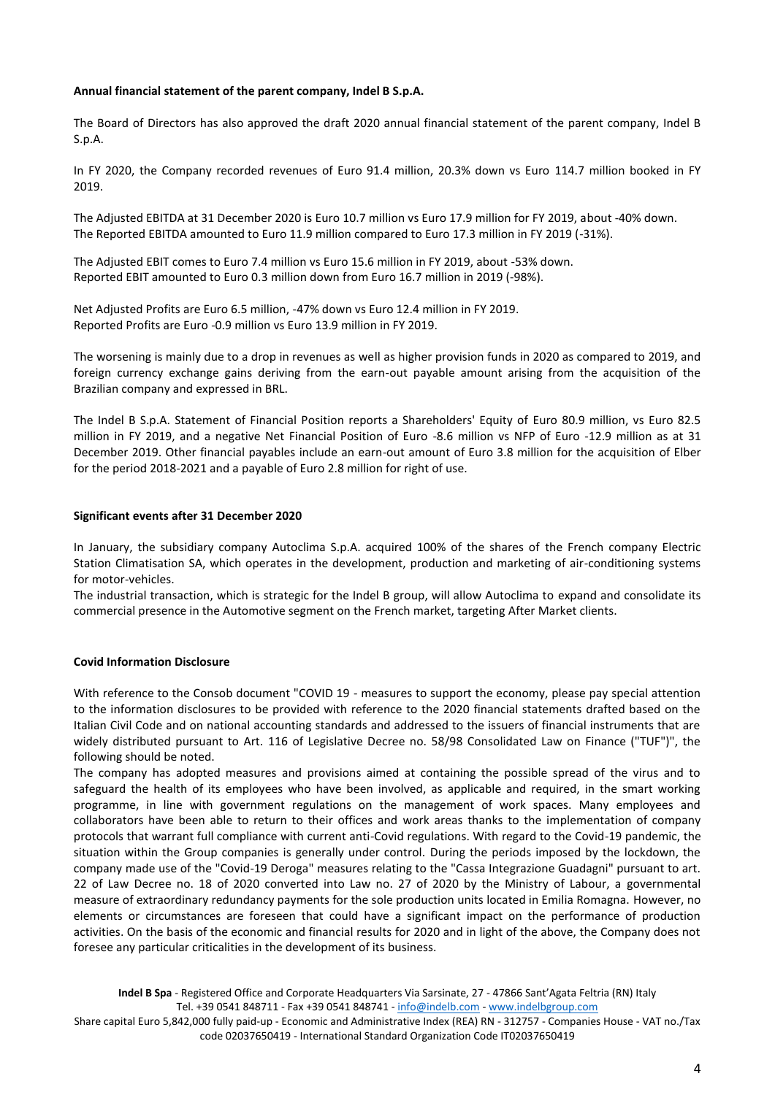## **Annual financial statement of the parent company, Indel B S.p.A.**

The Board of Directors has also approved the draft 2020 annual financial statement of the parent company, Indel B S.p.A.

In FY 2020, the Company recorded revenues of Euro 91.4 million, 20.3% down vs Euro 114.7 million booked in FY 2019.

The Adjusted EBITDA at 31 December 2020 is Euro 10.7 million vs Euro 17.9 million for FY 2019, about -40% down. The Reported EBITDA amounted to Euro 11.9 million compared to Euro 17.3 million in FY 2019 (-31%).

The Adjusted EBIT comes to Euro 7.4 million vs Euro 15.6 million in FY 2019, about -53% down. Reported EBIT amounted to Euro 0.3 million down from Euro 16.7 million in 2019 (-98%).

Net Adjusted Profits are Euro 6.5 million, -47% down vs Euro 12.4 million in FY 2019. Reported Profits are Euro -0.9 million vs Euro 13.9 million in FY 2019.

The worsening is mainly due to a drop in revenues as well as higher provision funds in 2020 as compared to 2019, and foreign currency exchange gains deriving from the earn-out payable amount arising from the acquisition of the Brazilian company and expressed in BRL.

The Indel B S.p.A. Statement of Financial Position reports a Shareholders' Equity of Euro 80.9 million, vs Euro 82.5 million in FY 2019, and a negative Net Financial Position of Euro -8.6 million vs NFP of Euro -12.9 million as at 31 December 2019. Other financial payables include an earn-out amount of Euro 3.8 million for the acquisition of Elber for the period 2018-2021 and a payable of Euro 2.8 million for right of use.

#### **Significant events after 31 December 2020**

In January, the subsidiary company Autoclima S.p.A. acquired 100% of the shares of the French company Electric Station Climatisation SA, which operates in the development, production and marketing of air-conditioning systems for motor-vehicles.

The industrial transaction, which is strategic for the Indel B group, will allow Autoclima to expand and consolidate its commercial presence in the Automotive segment on the French market, targeting After Market clients.

## **Covid Information Disclosure**

With reference to the Consob document "COVID 19 - measures to support the economy, please pay special attention to the information disclosures to be provided with reference to the 2020 financial statements drafted based on the Italian Civil Code and on national accounting standards and addressed to the issuers of financial instruments that are widely distributed pursuant to Art. 116 of Legislative Decree no. 58/98 Consolidated Law on Finance ("TUF")", the following should be noted.

The company has adopted measures and provisions aimed at containing the possible spread of the virus and to safeguard the health of its employees who have been involved, as applicable and required, in the smart working programme, in line with government regulations on the management of work spaces. Many employees and collaborators have been able to return to their offices and work areas thanks to the implementation of company protocols that warrant full compliance with current anti-Covid regulations. With regard to the Covid-19 pandemic, the situation within the Group companies is generally under control. During the periods imposed by the lockdown, the company made use of the "Covid-19 Deroga" measures relating to the "Cassa Integrazione Guadagni" pursuant to art. 22 of Law Decree no. 18 of 2020 converted into Law no. 27 of 2020 by the Ministry of Labour, a governmental measure of extraordinary redundancy payments for the sole production units located in Emilia Romagna. However, no elements or circumstances are foreseen that could have a significant impact on the performance of production activities. On the basis of the economic and financial results for 2020 and in light of the above, the Company does not foresee any particular criticalities in the development of its business.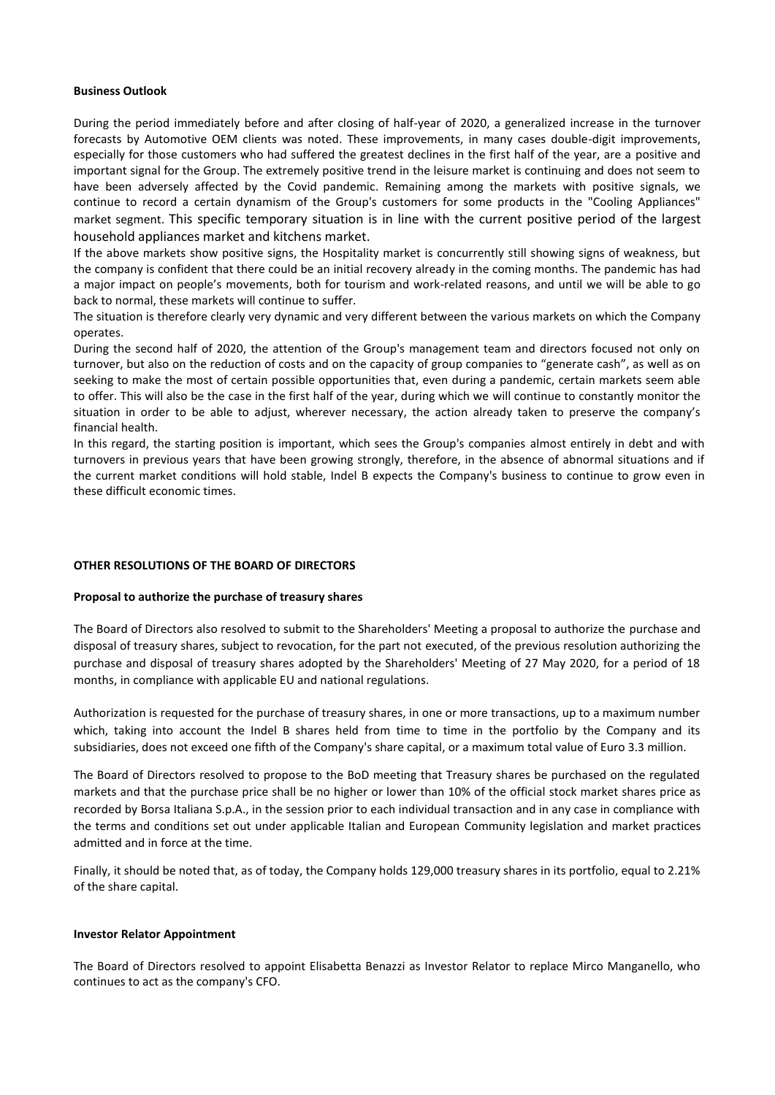#### **Business Outlook**

During the period immediately before and after closing of half-year of 2020, a generalized increase in the turnover forecasts by Automotive OEM clients was noted. These improvements, in many cases double-digit improvements, especially for those customers who had suffered the greatest declines in the first half of the year, are a positive and important signal for the Group. The extremely positive trend in the leisure market is continuing and does not seem to have been adversely affected by the Covid pandemic. Remaining among the markets with positive signals, we continue to record a certain dynamism of the Group's customers for some products in the "Cooling Appliances" market segment. This specific temporary situation is in line with the current positive period of the largest household appliances market and kitchens market.

If the above markets show positive signs, the Hospitality market is concurrently still showing signs of weakness, but the company is confident that there could be an initial recovery already in the coming months. The pandemic has had a major impact on people's movements, both for tourism and work-related reasons, and until we will be able to go back to normal, these markets will continue to suffer.

The situation is therefore clearly very dynamic and very different between the various markets on which the Company operates.

During the second half of 2020, the attention of the Group's management team and directors focused not only on turnover, but also on the reduction of costs and on the capacity of group companies to "generate cash", as well as on seeking to make the most of certain possible opportunities that, even during a pandemic, certain markets seem able to offer. This will also be the case in the first half of the year, during which we will continue to constantly monitor the situation in order to be able to adjust, wherever necessary, the action already taken to preserve the company's financial health.

In this regard, the starting position is important, which sees the Group's companies almost entirely in debt and with turnovers in previous years that have been growing strongly, therefore, in the absence of abnormal situations and if the current market conditions will hold stable, Indel B expects the Company's business to continue to grow even in these difficult economic times.

## **OTHER RESOLUTIONS OF THE BOARD OF DIRECTORS**

## **Proposal to authorize the purchase of treasury shares**

The Board of Directors also resolved to submit to the Shareholders' Meeting a proposal to authorize the purchase and disposal of treasury shares, subject to revocation, for the part not executed, of the previous resolution authorizing the purchase and disposal of treasury shares adopted by the Shareholders' Meeting of 27 May 2020, for a period of 18 months, in compliance with applicable EU and national regulations.

Authorization is requested for the purchase of treasury shares, in one or more transactions, up to a maximum number which, taking into account the Indel B shares held from time to time in the portfolio by the Company and its subsidiaries, does not exceed one fifth of the Company's share capital, or a maximum total value of Euro 3.3 million.

The Board of Directors resolved to propose to the BoD meeting that Treasury shares be purchased on the regulated markets and that the purchase price shall be no higher or lower than 10% of the official stock market shares price as recorded by Borsa Italiana S.p.A., in the session prior to each individual transaction and in any case in compliance with the terms and conditions set out under applicable Italian and European Community legislation and market practices admitted and in force at the time.

Finally, it should be noted that, as of today, the Company holds 129,000 treasury shares in its portfolio, equal to 2.21% of the share capital.

#### **Investor Relator Appointment**

The Board of Directors resolved to appoint Elisabetta Benazzi as Investor Relator to replace Mirco Manganello, who continues to act as the company's CFO.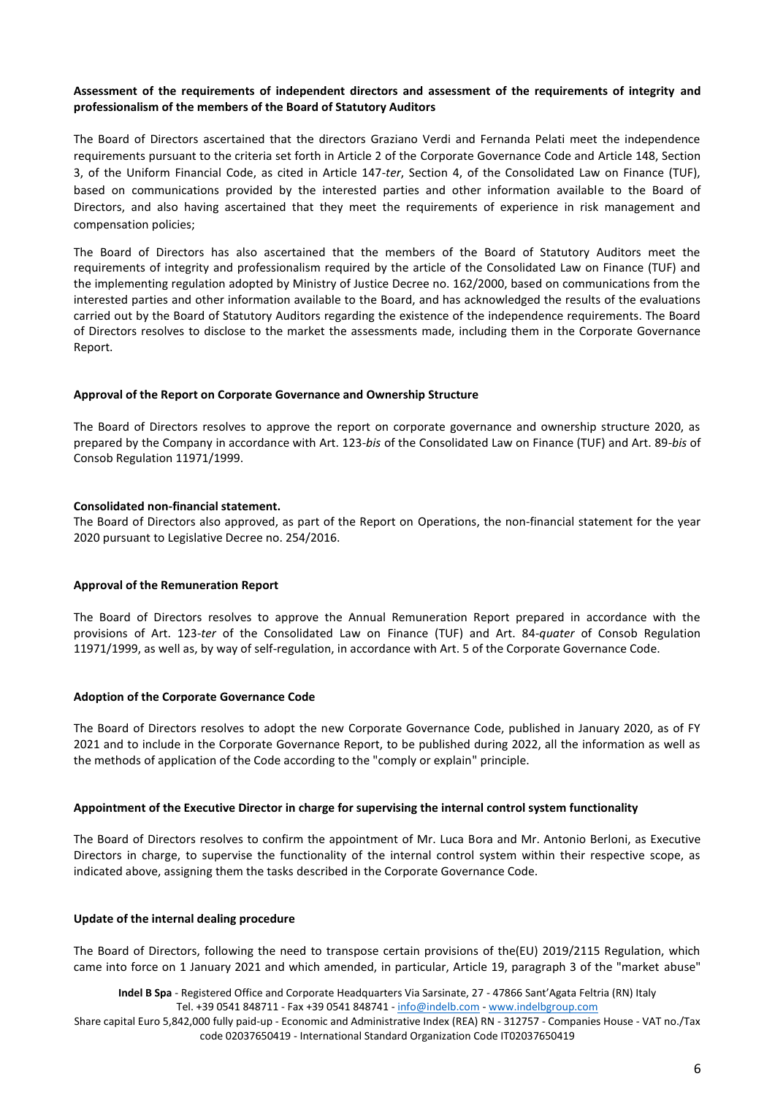# **Assessment of the requirements of independent directors and assessment of the requirements of integrity and professionalism of the members of the Board of Statutory Auditors**

The Board of Directors ascertained that the directors Graziano Verdi and Fernanda Pelati meet the independence requirements pursuant to the criteria set forth in Article 2 of the Corporate Governance Code and Article 148, Section 3, of the Uniform Financial Code, as cited in Article 147-*ter*, Section 4, of the Consolidated Law on Finance (TUF), based on communications provided by the interested parties and other information available to the Board of Directors, and also having ascertained that they meet the requirements of experience in risk management and compensation policies;

The Board of Directors has also ascertained that the members of the Board of Statutory Auditors meet the requirements of integrity and professionalism required by the article of the Consolidated Law on Finance (TUF) and the implementing regulation adopted by Ministry of Justice Decree no. 162/2000, based on communications from the interested parties and other information available to the Board, and has acknowledged the results of the evaluations carried out by the Board of Statutory Auditors regarding the existence of the independence requirements. The Board of Directors resolves to disclose to the market the assessments made, including them in the Corporate Governance Report.

## **Approval of the Report on Corporate Governance and Ownership Structure**

The Board of Directors resolves to approve the report on corporate governance and ownership structure 2020, as prepared by the Company in accordance with Art. 123-*bis* of the Consolidated Law on Finance (TUF) and Art. 89-*bis* of Consob Regulation 11971/1999.

## **Consolidated non-financial statement.**

The Board of Directors also approved, as part of the Report on Operations, the non-financial statement for the year 2020 pursuant to Legislative Decree no. 254/2016.

## **Approval of the Remuneration Report**

The Board of Directors resolves to approve the Annual Remuneration Report prepared in accordance with the provisions of Art. 123-*ter* of the Consolidated Law on Finance (TUF) and Art. 84-*quater* of Consob Regulation 11971/1999, as well as, by way of self-regulation, in accordance with Art. 5 of the Corporate Governance Code.

## **Adoption of the Corporate Governance Code**

The Board of Directors resolves to adopt the new Corporate Governance Code, published in January 2020, as of FY 2021 and to include in the Corporate Governance Report, to be published during 2022, all the information as well as the methods of application of the Code according to the "comply or explain" principle.

#### **Appointment of the Executive Director in charge for supervising the internal control system functionality**

The Board of Directors resolves to confirm the appointment of Mr. Luca Bora and Mr. Antonio Berloni, as Executive Directors in charge, to supervise the functionality of the internal control system within their respective scope, as indicated above, assigning them the tasks described in the Corporate Governance Code.

#### **Update of the internal dealing procedure**

The Board of Directors, following the need to transpose certain provisions of the(EU) 2019/2115 Regulation, which came into force on 1 January 2021 and which amended, in particular, Article 19, paragraph 3 of the "market abuse"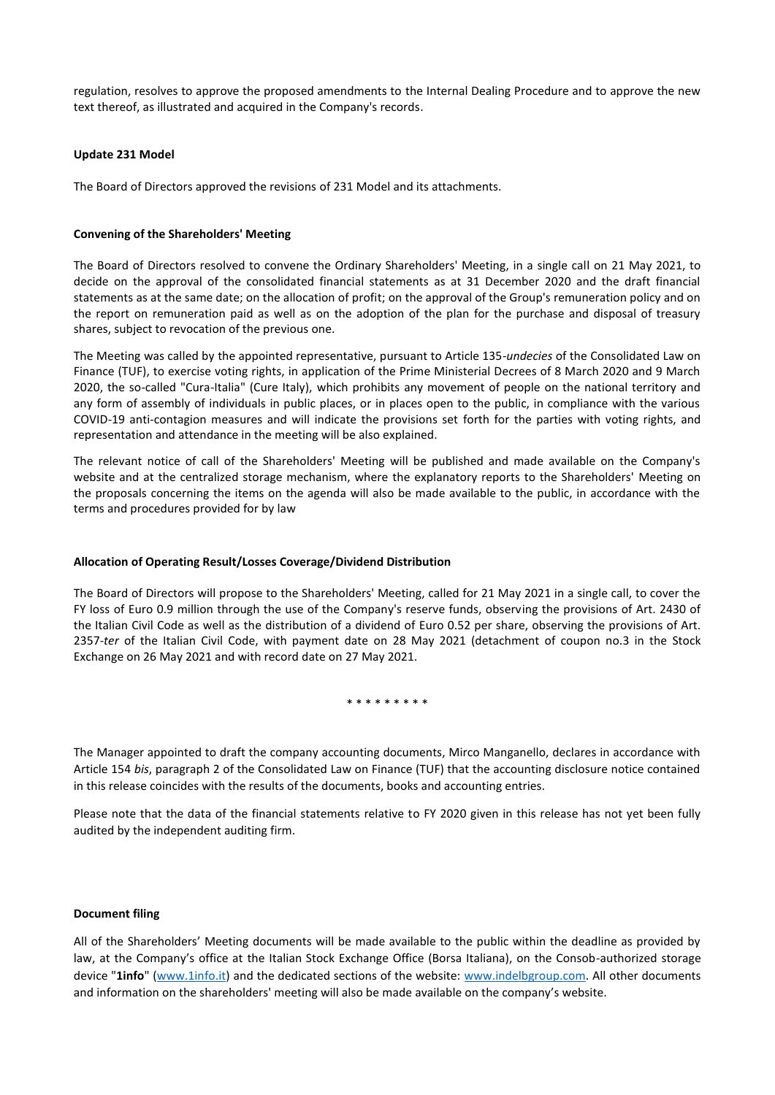regulation, resolves to approve the proposed amendments to the Internal Dealing Procedure and to approve the new text thereof, as illustrated and acquired in the Company's records.

#### **Update 231 Model**

The Board of Directors approved the revisions of 231 Model and its attachments.

#### **Convening of the Shareholders' Meeting**

The Board of Directors resolved to convene the Ordinary Shareholders' Meeting, in a single call on 21 May 2021, to decide on the approval of the consolidated financial statements as at 31 December 2020 and the draft financial statements as at the same date; on the allocation of profit; on the approval of the Group's remuneration policy and on the report on remuneration paid as well as on the adoption of the plan for the purchase and disposal of treasury shares, subject to revocation of the previous one.

The Meeting was called by the appointed representative, pursuant to Article 135-*undecies* of the Consolidated Law on Finance (TUF), to exercise voting rights, in application of the Prime Ministerial Decrees of 8 March 2020 and 9 March 2020, the so-called "Cura-Italia" (Cure Italy), which prohibits any movement of people on the national territory and any form of assembly of individuals in public places, or in places open to the public, in compliance with the various COVID-19 anti-contagion measures and will indicate the provisions set forth for the parties with voting rights, and representation and attendance in the meeting will be also explained.

The relevant notice of call of the Shareholders' Meeting will be published and made available on the Company's website and at the centralized storage mechanism, where the explanatory reports to the Shareholders' Meeting on the proposals concerning the items on the agenda will also be made available to the public, in accordance with the terms and procedures provided for by law

## **Allocation of Operating Result/Losses Coverage/Dividend Distribution**

The Board of Directors will propose to the Shareholders' Meeting, called for 21 May 2021 in a single call, to cover the FY loss of Euro 0.9 million through the use of the Company's reserve funds, observing the provisions of Art. 2430 of the Italian Civil Code as well as the distribution of a dividend of Euro 0.52 per share, observing the provisions of Art. 2357-*ter* of the Italian Civil Code, with payment date on 28 May 2021 (detachment of coupon no.3 in the Stock Exchange on 26 May 2021 and with record date on 27 May 2021.

\* \* \* \* \* \* \* \* \*

The Manager appointed to draft the company accounting documents, Mirco Manganello, declares in accordance with Article 154 *bis*, paragraph 2 of the Consolidated Law on Finance (TUF) that the accounting disclosure notice contained in this release coincides with the results of the documents, books and accounting entries.

Please note that the data of the financial statements relative to FY 2020 given in this release has not yet been fully audited by the independent auditing firm.

#### **Document filing**

All of the Shareholders' Meeting documents will be made available to the public within the deadline as provided by law, at the Company's office at the Italian Stock Exchange Office (Borsa Italiana), on the Consob-authorized storage device "1info" [\(www.1info.it\)](file:///C:/Users/paols/AppData/Local/Microsoft/Windows/INetCache/Content.Outlook/QB1LYT4T/www.1info.it) and the dedicated sections of the website: [www.indelbgroup.com.](file:///C:/Users/paols/AppData/Local/Microsoft/Windows/INetCache/Content.Outlook/QB1LYT4T/www.indelbgroup.com) All other documents and information on the shareholders' meeting will also be made available on the company's website.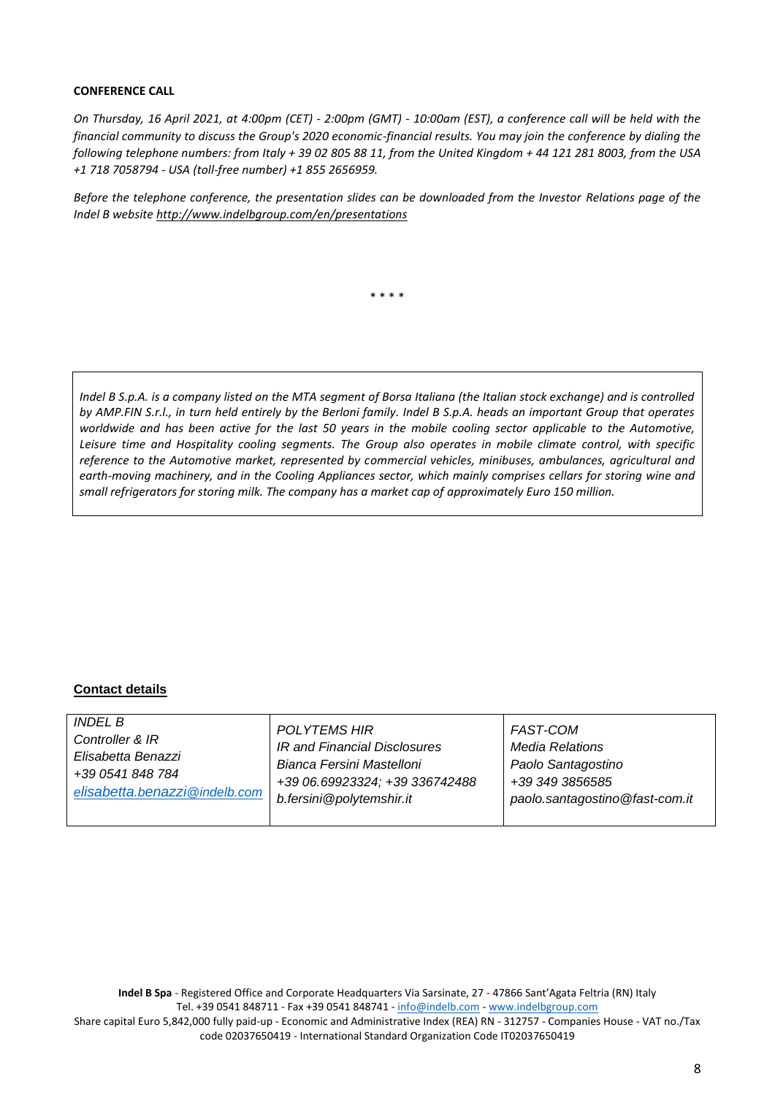# **CONFERENCE CALL**

*On Thursday, 16 April 2021, at 4:00pm (CET) - 2:00pm (GMT) - 10:00am (EST), a conference call will be held with the financial community to discuss the Group's 2020 economic-financial results. You may join the conference by dialing the following telephone numbers: from Italy + 39 02 805 88 11, from the United Kingdom + 44 121 281 8003, from the USA +1 718 7058794 - USA (toll-free number) +1 855 2656959.*

*Before the telephone conference, the presentation slides can be downloaded from the Investor Relations page of the Indel B website [http://www.indelbgroup.com/en/presentations](http://www.indelbgroup.com/en/en/presentations)*

\* \* \* \*

*Indel B S.p.A. is a company listed on the MTA segment of Borsa Italiana (the Italian stock exchange) and is controlled by AMP.FIN S.r.l., in turn held entirely by the Berloni family. Indel B S.p.A. heads an important Group that operates worldwide and has been active for the last 50 years in the mobile cooling sector applicable to the Automotive, Leisure time and Hospitality cooling segments. The Group also operates in mobile climate control, with specific reference to the Automotive market, represented by commercial vehicles, minibuses, ambulances, agricultural and earth-moving machinery, and in the Cooling Appliances sector, which mainly comprises cellars for storing wine and small refrigerators for storing milk. The company has a market cap of approximately Euro 150 million.*

# **Contact details**

| Elisabetta Benazzi<br>Bianca Fersini Mastelloni<br>Paolo Santagostino<br>+39 0541 848 784<br>+39 06.69923324; +39 336742488<br>+39 349 3856585<br>elisabetta.benazzi@indelb.com<br>b.fersini@polytemshir.it<br>paolo.santagostino@fast-com.it | <i>INDEL B</i><br>Controller & IR | <b>POLYTEMS HIR</b><br>IR and Financial Disclosures | <b>FAST-COM</b><br>Media Relations |
|-----------------------------------------------------------------------------------------------------------------------------------------------------------------------------------------------------------------------------------------------|-----------------------------------|-----------------------------------------------------|------------------------------------|
|-----------------------------------------------------------------------------------------------------------------------------------------------------------------------------------------------------------------------------------------------|-----------------------------------|-----------------------------------------------------|------------------------------------|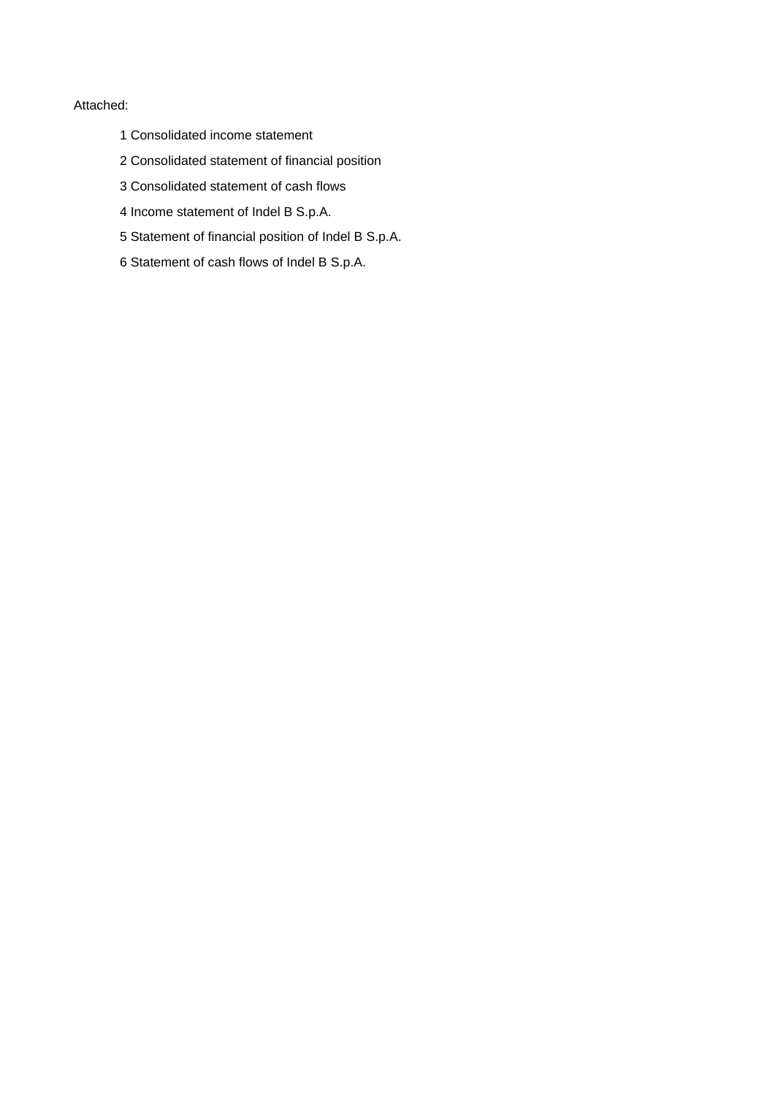# Attached:

- 1 Consolidated income statement
- 2 Consolidated statement of financial position
- 3 Consolidated statement of cash flows
- 4 Income statement of Indel B S.p.A.
- 5 Statement of financial position of Indel B S.p.A.
- 6 Statement of cash flows of Indel B S.p.A.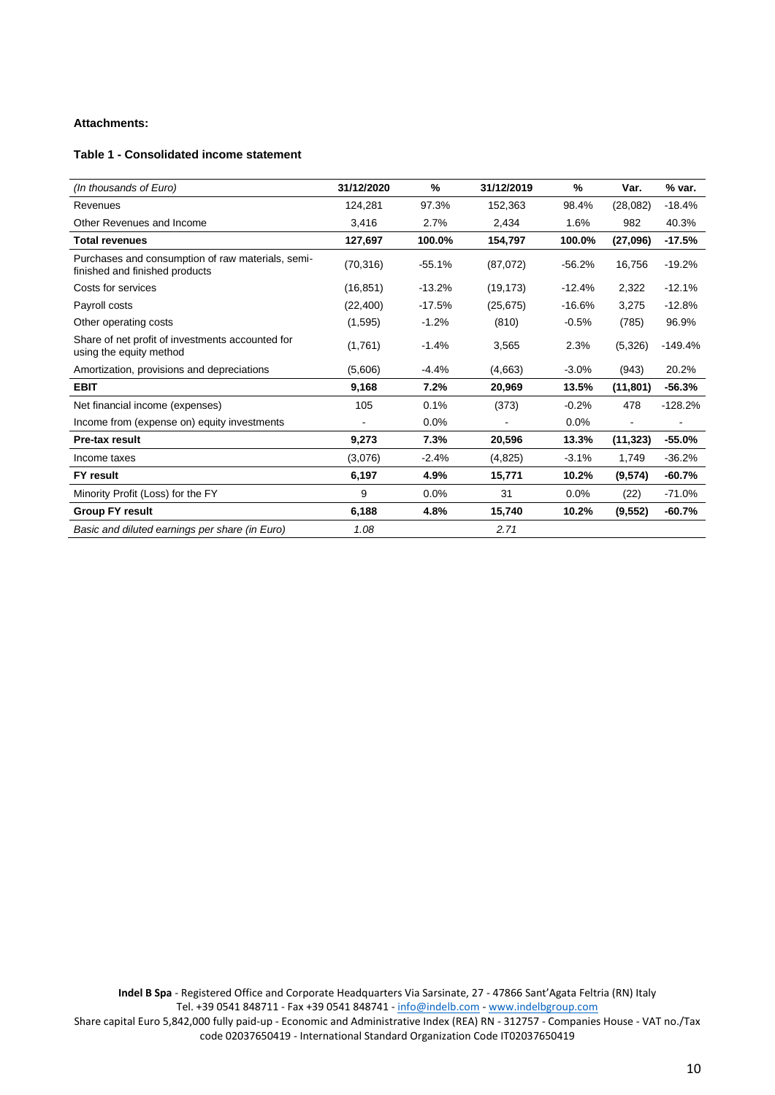# **Attachments:**

# **Table 1 - Consolidated income statement**

| (In thousands of Euro)                                                              | 31/12/2020 | %        | 31/12/2019 | %        | Var.      | % var.    |
|-------------------------------------------------------------------------------------|------------|----------|------------|----------|-----------|-----------|
| Revenues                                                                            | 124,281    | 97.3%    | 152,363    | 98.4%    | (28,082)  | $-18.4%$  |
| Other Revenues and Income                                                           | 3,416      | 2.7%     | 2,434      | 1.6%     | 982       | 40.3%     |
| <b>Total revenues</b>                                                               | 127,697    | 100.0%   | 154,797    | 100.0%   | (27,096)  | $-17.5%$  |
| Purchases and consumption of raw materials, semi-<br>finished and finished products | (70, 316)  | $-55.1%$ | (87,072)   | $-56.2%$ | 16,756    | $-19.2%$  |
| Costs for services                                                                  | (16, 851)  | $-13.2%$ | (19, 173)  | $-12.4%$ | 2,322     | $-12.1%$  |
| Payroll costs                                                                       | (22, 400)  | $-17.5%$ | (25, 675)  | $-16.6%$ | 3.275     | $-12.8%$  |
| Other operating costs                                                               | (1,595)    | $-1.2%$  | (810)      | $-0.5%$  | (785)     | 96.9%     |
| Share of net profit of investments accounted for<br>using the equity method         | (1,761)    | $-1.4%$  | 3,565      | 2.3%     | (5,326)   | $-149.4%$ |
| Amortization, provisions and depreciations                                          | (5,606)    | $-4.4%$  | (4,663)    | $-3.0%$  | (943)     | 20.2%     |
| <b>EBIT</b>                                                                         | 9,168      | 7.2%     | 20,969     | 13.5%    | (11, 801) | $-56.3%$  |
| Net financial income (expenses)                                                     | 105        | 0.1%     | (373)      | $-0.2%$  | 478       | $-128.2%$ |
| Income from (expense on) equity investments                                         |            | 0.0%     |            | 0.0%     |           |           |
| Pre-tax result                                                                      | 9,273      | 7.3%     | 20,596     | 13.3%    | (11, 323) | $-55.0%$  |
| Income taxes                                                                        | (3,076)    | $-2.4%$  | (4,825)    | $-3.1%$  | 1,749     | $-36.2%$  |
| <b>FY result</b>                                                                    | 6,197      | 4.9%     | 15,771     | 10.2%    | (9,574)   | $-60.7%$  |
| Minority Profit (Loss) for the FY                                                   | 9          | 0.0%     | 31         | 0.0%     | (22)      | $-71.0%$  |
| <b>Group FY result</b>                                                              | 6,188      | 4.8%     | 15,740     | 10.2%    | (9, 552)  | $-60.7%$  |
| Basic and diluted earnings per share (in Euro)                                      | 1.08       |          | 2.71       |          |           |           |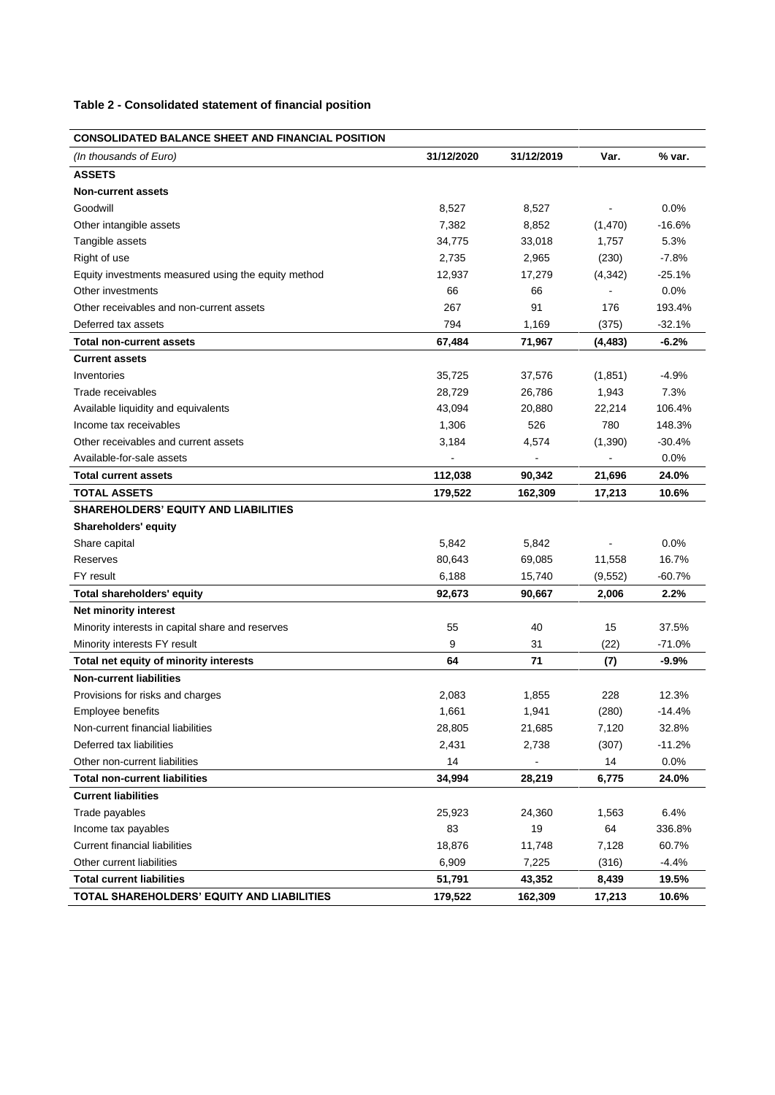# **Table 2 - Consolidated statement of financial position**

# **CONSOLIDATED BALANCE SHEET AND FINANCIAL POSITION**

| (In thousands of Euro)                              | 31/12/2020 | 31/12/2019     | Var.                         | % var.   |
|-----------------------------------------------------|------------|----------------|------------------------------|----------|
| <b>ASSETS</b>                                       |            |                |                              |          |
| <b>Non-current assets</b>                           |            |                |                              |          |
| Goodwill                                            | 8,527      | 8,527          |                              | 0.0%     |
| Other intangible assets                             | 7,382      | 8,852          | (1,470)                      | $-16.6%$ |
| Tangible assets                                     | 34,775     | 33,018         | 1,757                        | 5.3%     |
| Right of use                                        | 2,735      | 2,965          | (230)                        | $-7.8%$  |
| Equity investments measured using the equity method | 12,937     | 17,279         | (4, 342)                     | $-25.1%$ |
| Other investments                                   | 66         | 66             |                              | 0.0%     |
| Other receivables and non-current assets            | 267        | 91             | 176                          | 193.4%   |
| Deferred tax assets                                 | 794        | 1,169          | (375)                        | $-32.1%$ |
| <b>Total non-current assets</b>                     | 67,484     | 71,967         | (4, 483)                     | $-6.2%$  |
| <b>Current assets</b>                               |            |                |                              |          |
| Inventories                                         | 35,725     | 37,576         | (1,851)                      | $-4.9%$  |
| Trade receivables                                   | 28,729     | 26,786         | 1,943                        | 7.3%     |
| Available liquidity and equivalents                 | 43,094     | 20,880         | 22,214                       | 106.4%   |
| Income tax receivables                              | 1,306      | 526            | 780                          | 148.3%   |
| Other receivables and current assets                | 3,184      | 4,574          | (1,390)                      | $-30.4%$ |
| Available-for-sale assets                           |            | $\blacksquare$ | $\qquad \qquad \blacksquare$ | 0.0%     |
| <b>Total current assets</b>                         | 112,038    | 90,342         | 21,696                       | 24.0%    |
| <b>TOTAL ASSETS</b>                                 | 179,522    | 162,309        | 17,213                       | 10.6%    |
| <b>SHAREHOLDERS' EQUITY AND LIABILITIES</b>         |            |                |                              |          |
| <b>Shareholders' equity</b>                         |            |                |                              |          |
| Share capital                                       | 5,842      | 5,842          |                              | 0.0%     |
| Reserves                                            | 80,643     | 69,085         | 11,558                       | 16.7%    |
| FY result                                           | 6,188      | 15,740         | (9, 552)                     | $-60.7%$ |
| Total shareholders' equity                          | 92,673     | 90,667         | 2,006                        | 2.2%     |
| Net minority interest                               |            |                |                              |          |
| Minority interests in capital share and reserves    | 55         | 40             | 15                           | 37.5%    |
| Minority interests FY result                        | 9          | 31             | (22)                         | -71.0%   |
| Total net equity of minority interests              | 64         | 71             | (7)                          | $-9.9%$  |
| <b>Non-current liabilities</b>                      |            |                |                              |          |
| Provisions for risks and charges                    | 2,083      | 1,855          | 228                          | 12.3%    |
| Employee benefits                                   | 1,661      | 1,941          | (280)                        | $-14.4%$ |
| Non-current financial liabilities                   | 28,805     | 21,685         | 7,120                        | 32.8%    |
| Deferred tax liabilities                            | 2,431      | 2,738          | (307)                        | $-11.2%$ |
| Other non-current liabilities                       | 14         |                | 14                           | 0.0%     |
| <b>Total non-current liabilities</b>                | 34,994     | 28,219         | 6,775                        | 24.0%    |
| <b>Current liabilities</b>                          |            |                |                              |          |
| Trade payables                                      | 25,923     | 24,360         | 1,563                        | 6.4%     |
| Income tax payables                                 | 83         | 19             | 64                           | 336.8%   |
| <b>Current financial liabilities</b>                | 18,876     | 11,748         | 7,128                        | 60.7%    |
| Other current liabilities                           | 6,909      | 7,225          | (316)                        | $-4.4%$  |
| <b>Total current liabilities</b>                    | 51,791     | 43,352         | 8,439                        | 19.5%    |
| TOTAL SHAREHOLDERS' EQUITY AND LIABILITIES          | 179,522    | 162,309        | 17,213                       | 10.6%    |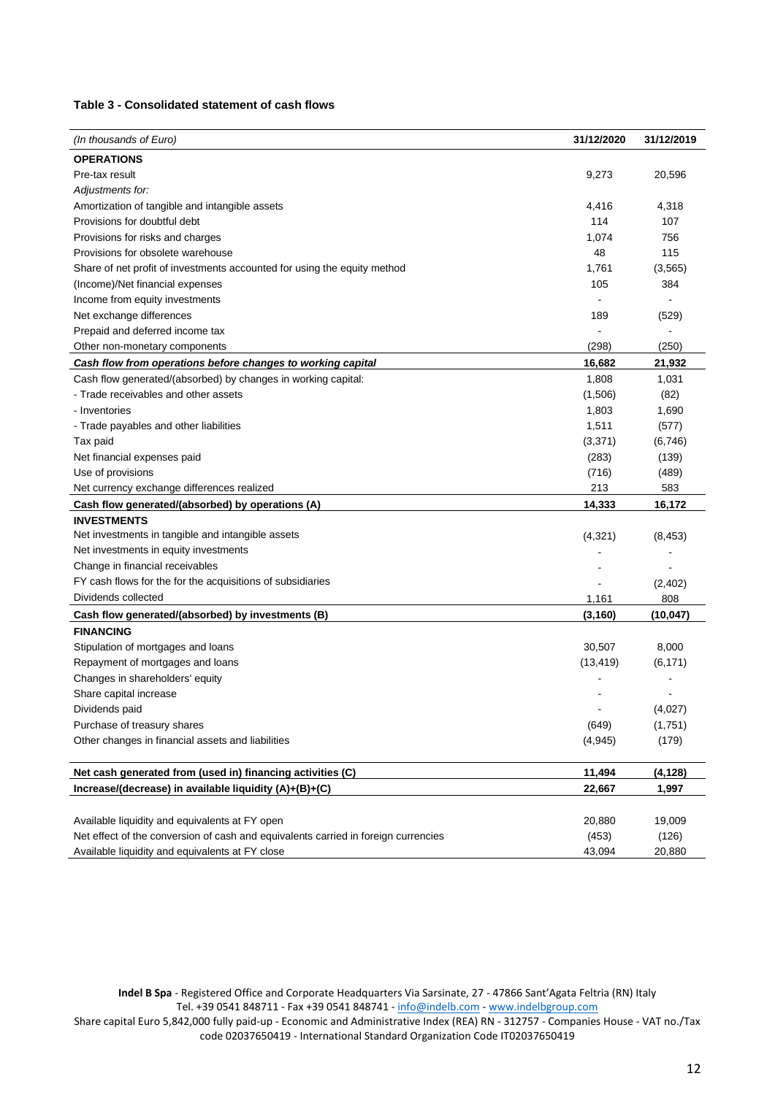#### **Table 3 - Consolidated statement of cash flows**

| (In thousands of Euro)                                                             | 31/12/2020 | 31/12/2019               |
|------------------------------------------------------------------------------------|------------|--------------------------|
| <b>OPERATIONS</b>                                                                  |            |                          |
| Pre-tax result                                                                     | 9,273      | 20,596                   |
| Adjustments for:                                                                   |            |                          |
| Amortization of tangible and intangible assets                                     | 4,416      | 4,318                    |
| Provisions for doubtful debt                                                       | 114        | 107                      |
| Provisions for risks and charges                                                   | 1,074      | 756                      |
| Provisions for obsolete warehouse                                                  | 48         | 115                      |
| Share of net profit of investments accounted for using the equity method           | 1,761      | (3, 565)                 |
| (Income)/Net financial expenses                                                    | 105        | 384                      |
| Income from equity investments                                                     |            |                          |
| Net exchange differences                                                           | 189        | (529)                    |
| Prepaid and deferred income tax                                                    |            | $\overline{\phantom{0}}$ |
| Other non-monetary components                                                      | (298)      | (250)                    |
| Cash flow from operations before changes to working capital                        | 16,682     | 21,932                   |
| Cash flow generated/(absorbed) by changes in working capital:                      | 1,808      | 1,031                    |
| - Trade receivables and other assets                                               | (1,506)    | (82)                     |
| - Inventories                                                                      | 1,803      | 1,690                    |
| - Trade payables and other liabilities                                             | 1,511      | (577)                    |
| Tax paid                                                                           | (3, 371)   | (6, 746)                 |
| Net financial expenses paid                                                        | (283)      | (139)                    |
| Use of provisions                                                                  | (716)      | (489)                    |
| Net currency exchange differences realized                                         | 213        | 583                      |
| Cash flow generated/(absorbed) by operations (A)                                   | 14,333     | 16,172                   |
| <b>INVESTMENTS</b>                                                                 |            |                          |
| Net investments in tangible and intangible assets                                  | (4,321)    | (8, 453)                 |
| Net investments in equity investments                                              |            |                          |
| Change in financial receivables                                                    |            |                          |
| FY cash flows for the for the acquisitions of subsidiaries                         |            | (2,402)                  |
| Dividends collected                                                                | 1,161      | 808                      |
| Cash flow generated/(absorbed) by investments (B)                                  | (3, 160)   | (10, 047)                |
| <b>FINANCING</b>                                                                   |            |                          |
| Stipulation of mortgages and loans                                                 | 30,507     | 8,000                    |
| Repayment of mortgages and loans                                                   | (13, 419)  | (6, 171)                 |
| Changes in shareholders' equity                                                    |            |                          |
| Share capital increase                                                             |            |                          |
| Dividends paid                                                                     |            | (4,027)                  |
| Purchase of treasury shares                                                        | (649)      | (1,751)                  |
| Other changes in financial assets and liabilities                                  | (4, 945)   | (179)                    |
|                                                                                    |            |                          |
| Net cash generated from (used in) financing activities (C)                         | 11,494     | (4, 128)                 |
| Increase/(decrease) in available liquidity (A)+(B)+(C)                             | 22,667     | 1,997                    |
|                                                                                    |            |                          |
| Available liquidity and equivalents at FY open                                     | 20,880     | 19,009                   |
| Net effect of the conversion of cash and equivalents carried in foreign currencies | (453)      | (126)                    |
| Available liquidity and equivalents at FY close                                    | 43,094     | 20,880                   |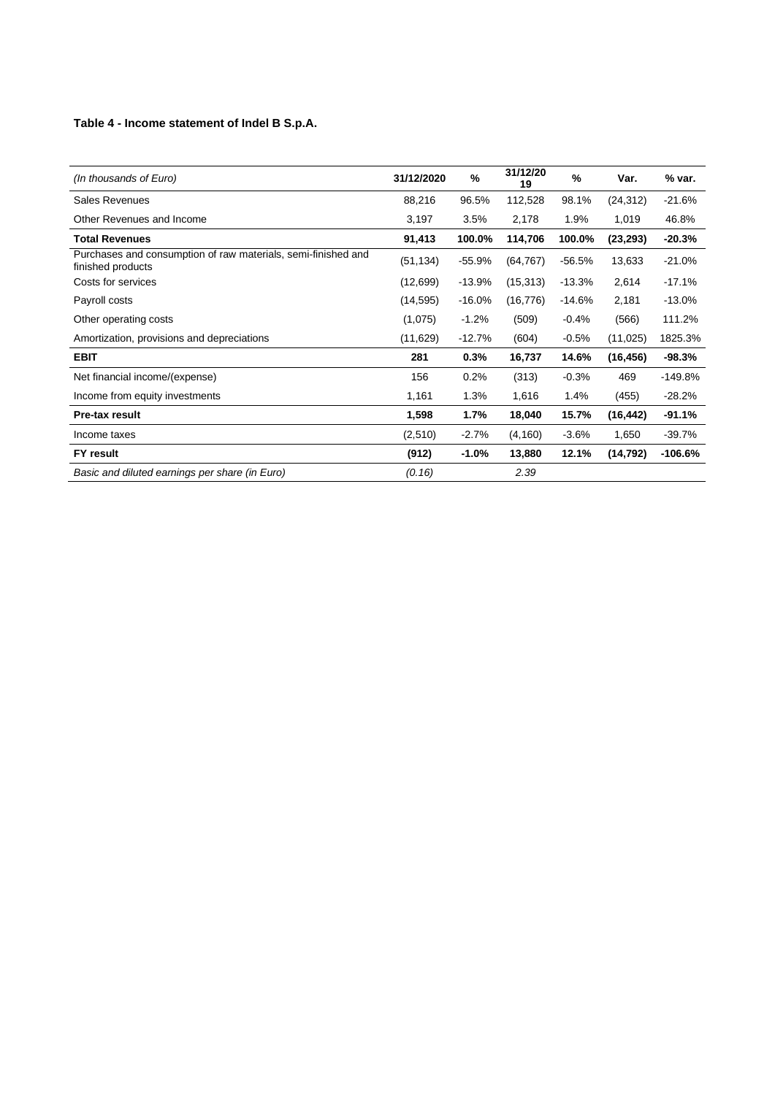# **Table 4 - Income statement of Indel B S.p.A.**

| (In thousands of Euro)                                                             | 31/12/2020 | %        | 31/12/20<br>19 | %        | Var.      | % var.    |
|------------------------------------------------------------------------------------|------------|----------|----------------|----------|-----------|-----------|
| <b>Sales Revenues</b>                                                              | 88,216     | 96.5%    | 112,528        | 98.1%    | (24, 312) | $-21.6%$  |
| Other Revenues and Income                                                          | 3,197      | 3.5%     | 2,178          | 1.9%     | 1,019     | 46.8%     |
| <b>Total Revenues</b>                                                              | 91,413     | 100.0%   | 114,706        | 100.0%   | (23, 293) | $-20.3%$  |
| Purchases and consumption of raw materials, semi-finished and<br>finished products | (51, 134)  | $-55.9%$ | (64, 767)      | $-56.5%$ | 13,633    | $-21.0%$  |
| Costs for services                                                                 | (12,699)   | $-13.9%$ | (15, 313)      | $-13.3%$ | 2,614     | $-17.1%$  |
| Payroll costs                                                                      | (14, 595)  | $-16.0%$ | (16, 776)      | $-14.6%$ | 2,181     | $-13.0%$  |
| Other operating costs                                                              | (1,075)    | $-1.2%$  | (509)          | $-0.4%$  | (566)     | 111.2%    |
| Amortization, provisions and depreciations                                         | (11,629)   | $-12.7%$ | (604)          | $-0.5%$  | (11, 025) | 1825.3%   |
| <b>EBIT</b>                                                                        | 281        | 0.3%     | 16,737         | 14.6%    | (16, 456) | -98.3%    |
| Net financial income/(expense)                                                     | 156        | 0.2%     | (313)          | $-0.3%$  | 469       | $-149.8%$ |
| Income from equity investments                                                     | 1,161      | 1.3%     | 1,616          | 1.4%     | (455)     | $-28.2%$  |
| Pre-tax result                                                                     | 1,598      | 1.7%     | 18,040         | 15.7%    | (16, 442) | $-91.1%$  |
| Income taxes                                                                       | (2,510)    | $-2.7\%$ | (4, 160)       | $-3.6%$  | 1,650     | -39.7%    |
| FY result                                                                          | (912)      | $-1.0\%$ | 13,880         | 12.1%    | (14, 792) | $-106.6%$ |
| Basic and diluted earnings per share (in Euro)                                     | (0.16)     |          | 2.39           |          |           |           |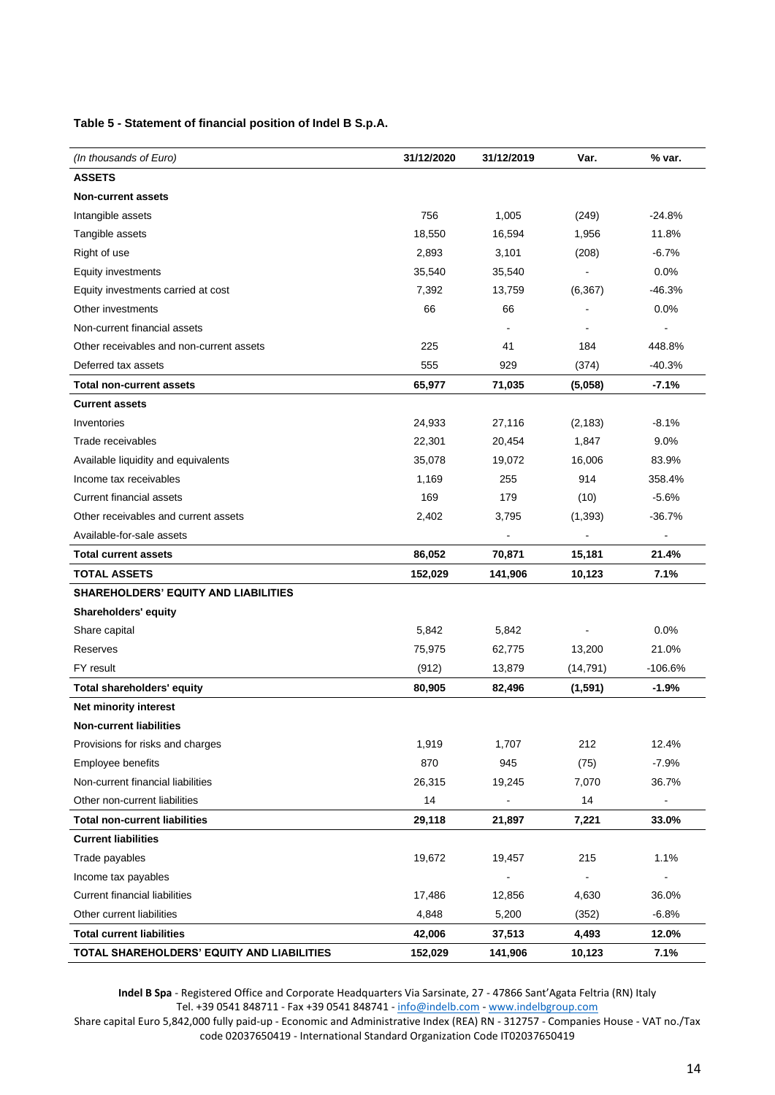**Table 5 - Statement of financial position of Indel B S.p.A.**

| (In thousands of Euro)                      | 31/12/2020 | 31/12/2019 | Var.                     | % var.    |
|---------------------------------------------|------------|------------|--------------------------|-----------|
| <b>ASSETS</b>                               |            |            |                          |           |
| <b>Non-current assets</b>                   |            |            |                          |           |
| Intangible assets                           | 756        | 1,005      | (249)                    | $-24.8%$  |
| Tangible assets                             | 18,550     | 16,594     | 1,956                    | 11.8%     |
| Right of use                                | 2,893      | 3,101      | (208)                    | $-6.7%$   |
| Equity investments                          | 35,540     | 35,540     |                          | 0.0%      |
| Equity investments carried at cost          | 7,392      | 13,759     | (6, 367)                 | $-46.3%$  |
| Other investments                           | 66         | 66         |                          | 0.0%      |
| Non-current financial assets                |            |            |                          |           |
| Other receivables and non-current assets    | 225        | 41         | 184                      | 448.8%    |
| Deferred tax assets                         | 555        | 929        | (374)                    | $-40.3%$  |
| <b>Total non-current assets</b>             | 65,977     | 71,035     | (5,058)                  | $-7.1%$   |
| <b>Current assets</b>                       |            |            |                          |           |
| Inventories                                 | 24,933     | 27,116     | (2, 183)                 | $-8.1%$   |
| Trade receivables                           | 22,301     | 20,454     | 1,847                    | 9.0%      |
| Available liquidity and equivalents         | 35,078     | 19,072     | 16,006                   | 83.9%     |
| Income tax receivables                      | 1,169      | 255        | 914                      | 358.4%    |
| <b>Current financial assets</b>             | 169        | 179        | (10)                     | $-5.6%$   |
| Other receivables and current assets        | 2,402      | 3,795      | (1,393)                  | $-36.7%$  |
| Available-for-sale assets                   |            |            |                          |           |
| <b>Total current assets</b>                 | 86,052     | 70,871     | 15,181                   | 21.4%     |
| <b>TOTAL ASSETS</b>                         | 152,029    | 141,906    | 10,123                   | 7.1%      |
| <b>SHAREHOLDERS' EQUITY AND LIABILITIES</b> |            |            |                          |           |
| Shareholders' equity                        |            |            |                          |           |
| Share capital                               | 5,842      | 5,842      |                          | 0.0%      |
| Reserves                                    | 75,975     | 62,775     | 13,200                   | 21.0%     |
| FY result                                   | (912)      | 13,879     | (14, 791)                | $-106.6%$ |
| <b>Total shareholders' equity</b>           | 80,905     | 82,496     | (1, 591)                 | $-1.9%$   |
| Net minority interest                       |            |            |                          |           |
| <b>Non-current liabilities</b>              |            |            |                          |           |
| Provisions for risks and charges            | 1,919      | 1,707      | 212                      | 12.4%     |
| Employee benefits                           | 870        | 945        | (75)                     | $-7.9%$   |
| Non-current financial liabilities           | 26,315     | 19,245     | 7,070                    | 36.7%     |
| Other non-current liabilities               | 14         | ÷,         | 14                       |           |
| <b>Total non-current liabilities</b>        | 29,118     | 21,897     | 7,221                    | 33.0%     |
| <b>Current liabilities</b>                  |            |            |                          |           |
| Trade payables                              | 19,672     | 19,457     | 215                      | 1.1%      |
| Income tax payables                         |            |            | $\overline{\phantom{m}}$ |           |
| <b>Current financial liabilities</b>        | 17,486     | 12,856     | 4,630                    | 36.0%     |
| Other current liabilities                   | 4,848      | 5,200      | (352)                    | $-6.8%$   |
| <b>Total current liabilities</b>            | 42,006     | 37,513     | 4,493                    | 12.0%     |
| TOTAL SHAREHOLDERS' EQUITY AND LIABILITIES  | 152,029    | 141,906    | 10,123                   | 7.1%      |